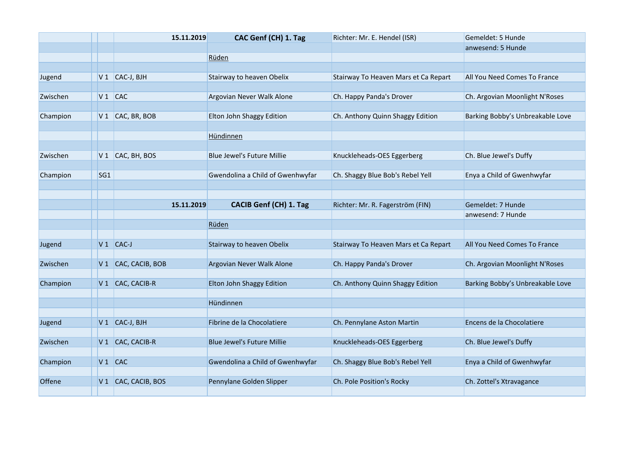|          |                 | 15.11.2019                  | CAC Genf (CH) 1. Tag              | Richter: Mr. E. Hendel (ISR)         | Gemeldet: 5 Hunde                |
|----------|-----------------|-----------------------------|-----------------------------------|--------------------------------------|----------------------------------|
|          |                 |                             |                                   |                                      | anwesend: 5 Hunde                |
|          |                 |                             | Rüden                             |                                      |                                  |
|          |                 |                             |                                   |                                      |                                  |
| Jugend   |                 | $V1$ CAC-J, BJH             | Stairway to heaven Obelix         | Stairway To Heaven Mars et Ca Repart | All You Need Comes To France     |
|          |                 |                             |                                   |                                      |                                  |
| Zwischen |                 | $V1$ CAC                    | Argovian Never Walk Alone         | Ch. Happy Panda's Drover             | Ch. Argovian Moonlight N'Roses   |
|          |                 |                             |                                   |                                      |                                  |
| Champion |                 | $V1$ CAC, BR, BOB           | Elton John Shaggy Edition         | Ch. Anthony Quinn Shaggy Edition     | Barking Bobby's Unbreakable Love |
|          |                 |                             | Hündinnen                         |                                      |                                  |
|          |                 |                             |                                   |                                      |                                  |
| Zwischen | V <sub>1</sub>  | CAC, BH, BOS                | Blue Jewel's Future Millie        | Knuckleheads-OES Eggerberg           | Ch. Blue Jewel's Duffy           |
|          |                 |                             |                                   |                                      |                                  |
| Champion | SG <sub>1</sub> |                             | Gwendolina a Child of Gwenhwyfar  | Ch. Shaggy Blue Bob's Rebel Yell     | Enya a Child of Gwenhwyfar       |
|          |                 |                             |                                   |                                      |                                  |
|          |                 |                             |                                   |                                      |                                  |
|          |                 | 15.11.2019                  | <b>CACIB Genf (CH) 1. Tag</b>     | Richter: Mr. R. Fagerström (FIN)     | Gemeldet: 7 Hunde                |
|          |                 |                             |                                   |                                      | anwesend: 7 Hunde                |
|          |                 |                             | Rüden                             |                                      |                                  |
|          |                 |                             |                                   |                                      |                                  |
| Jugend   |                 | $V1$ CAC-J                  | Stairway to heaven Obelix         | Stairway To Heaven Mars et Ca Repart | All You Need Comes To France     |
| Zwischen | V1              | CAC, CACIB, BOB             | Argovian Never Walk Alone         | Ch. Happy Panda's Drover             | Ch. Argovian Moonlight N'Roses   |
|          |                 |                             |                                   |                                      |                                  |
| Champion |                 | V <sub>1</sub> CAC, CACIB-R | Elton John Shaggy Edition         | Ch. Anthony Quinn Shaggy Edition     | Barking Bobby's Unbreakable Love |
|          |                 |                             |                                   |                                      |                                  |
|          |                 |                             | Hündinnen                         |                                      |                                  |
|          |                 |                             |                                   |                                      |                                  |
| Jugend   |                 | V <sub>1</sub> CAC-J, BJH   | Fibrine de la Chocolatiere        | Ch. Pennylane Aston Martin           | Encens de la Chocolatiere        |
|          |                 |                             |                                   |                                      |                                  |
| Zwischen |                 | V 1 CAC, CACIB-R            | <b>Blue Jewel's Future Millie</b> | Knuckleheads-OES Eggerberg           | Ch. Blue Jewel's Duffy           |
|          |                 |                             |                                   |                                      |                                  |
| Champion |                 | $V1$ CAC                    | Gwendolina a Child of Gwenhwyfar  | Ch. Shaggy Blue Bob's Rebel Yell     | Enya a Child of Gwenhwyfar       |
|          |                 |                             |                                   |                                      |                                  |
| Offene   |                 | V 1 CAC, CACIB, BOS         | Pennylane Golden Slipper          | Ch. Pole Position's Rocky            | Ch. Zottel's Xtravagance         |
|          |                 |                             |                                   |                                      |                                  |